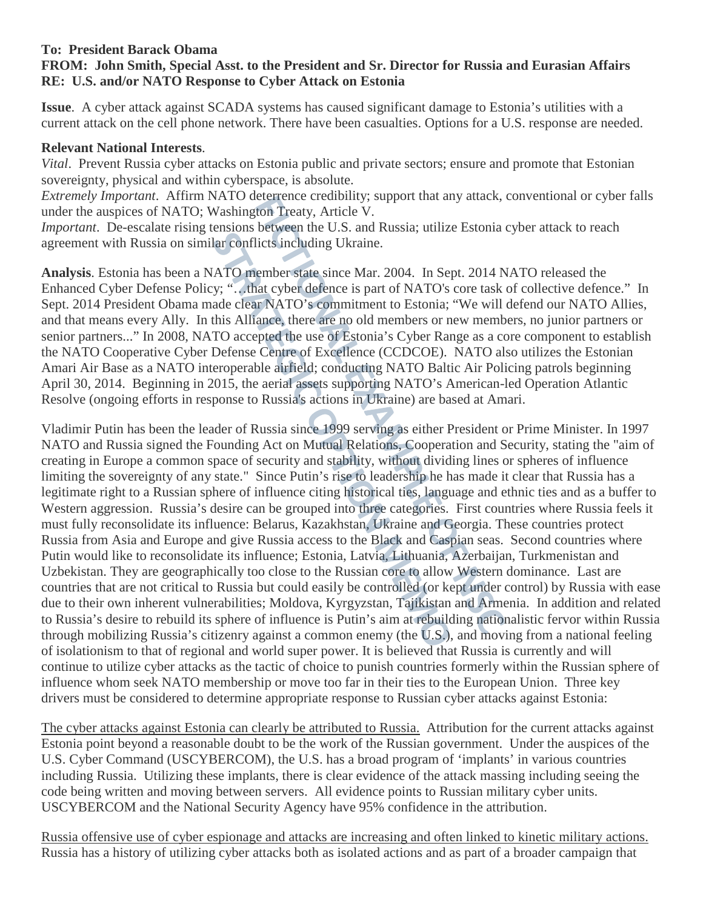#### **To: President Barack Obama FROM: John Smith, Special Asst. to the President and Sr. Director for Russia and Eurasian Affairs RE: U.S. and/or NATO Response to Cyber Attack on Estonia**

**Issue**. A cyber attack against SCADA systems has caused significant damage to Estonia's utilities with a current attack on the cell phone network. There have been casualties. Options for a U.S. response are needed.

### **Relevant National Interests**.

*Vital*. Prevent Russia cyber attacks on Estonia public and private sectors; ensure and promote that Estonian sovereignty, physical and within cyberspace, is absolute.

*Extremely Important*. Affirm NATO deterrence credibility; support that any attack, conventional or cyber falls under the auspices of NATO; Washington Treaty, Article V.

*Important.* De-escalate rising tensions between the U.S. and Russia; utilize Estonia cyber attack to reach agreement with Russia on similar conflicts including Ukraine.

**Analysis**. Estonia has been a NATO member state since Mar. 2004. In Sept. 2014 NATO released the Enhanced Cyber Defense Policy; "... that cyber defence is part of NATO's core task of collective defence." In Sept. 2014 President Obama made clear NATO's commitment to Estonia; "We will defend our NATO Allies, and that means every Ally. In this Alliance, there are no old members or new members, no junior partners or senior partners..." In 2008, NATO accepted the use of Estonia's Cyber Range as a core component to establish the NATO Cooperative Cyber Defense Centre of Excellence (CCDCOE). NATO also utilizes the Estonian Amari Air Base as a NATO interoperable airfield; conducting NATO Baltic Air Policing patrols beginning April 30, 2014. Beginning in 2015, the aerial assets supporting NATO's American-led Operation Atlantic Resolve (ongoing efforts in response to Russia's actions in Ukraine) are based at Amari.

Vladimir Putin has been the leader of Russia since 1999 serving as either President or Prime Minister. In 1997 NATO and Russia signed the Founding Act on Mutual Relations, Cooperation and Security, stating the "aim of creating in Europe a common space of security and stability, without dividing lines or spheres of influence limiting the sovereignty of any state." Since Putin's rise to leadership he has made it clear that Russia has a legitimate right to a Russian sphere of influence citing historical ties, language and ethnic ties and as a buffer to Western aggression. Russia's desire can be grouped into three categories. First countries where Russia feels it must fully reconsolidate its influence: Belarus, Kazakhstan, Ukraine and Georgia. These countries protect Russia from Asia and Europe and give Russia access to the Black and Caspian seas. Second countries where Putin would like to reconsolidate its influence; Estonia, Latvia, Lithuania, Azerbaijan, Turkmenistan and Uzbekistan. They are geographically too close to the Russian core to allow Western dominance. Last are countries that are not critical to Russia but could easily be controlled (or kept under control) by Russia with ease due to their own inherent vulnerabilities; Moldova, Kyrgyzstan, Tajikistan and Armenia. In addition and related to Russia's desire to rebuild its sphere of influence is Putin's aim at rebuilding nationalistic fervor within Russia through mobilizing Russia's citizenry against a common enemy (the U.S.), and moving from a national feeling of isolationism to that of regional and world super power. It is believed that Russia is currently and will continue to utilize cyber attacks as the tactic of choice to punish countries formerly within the Russian sphere of influence whom seek NATO membership or move too far in their ties to the European Union. Three key drivers must be considered to determine appropriate response to Russian cyber attacks against Estonia:

The cyber attacks against Estonia can clearly be attributed to Russia. Attribution for the current attacks against Estonia point beyond a reasonable doubt to be the work of the Russian government. Under the auspices of the U.S. Cyber Command (USCYBERCOM), the U.S. has a broad program of 'implants' in various countries including Russia. Utilizing these implants, there is clear evidence of the attack massing including seeing the code being written and moving between servers. All evidence points to Russian military cyber units. USCYBERCOM and the National Security Agency have 95% confidence in the attribution.

Russia offensive use of cyber espionage and attacks are increasing and often linked to kinetic military actions. Russia has a history of utilizing cyber attacks both as isolated actions and as part of a broader campaign that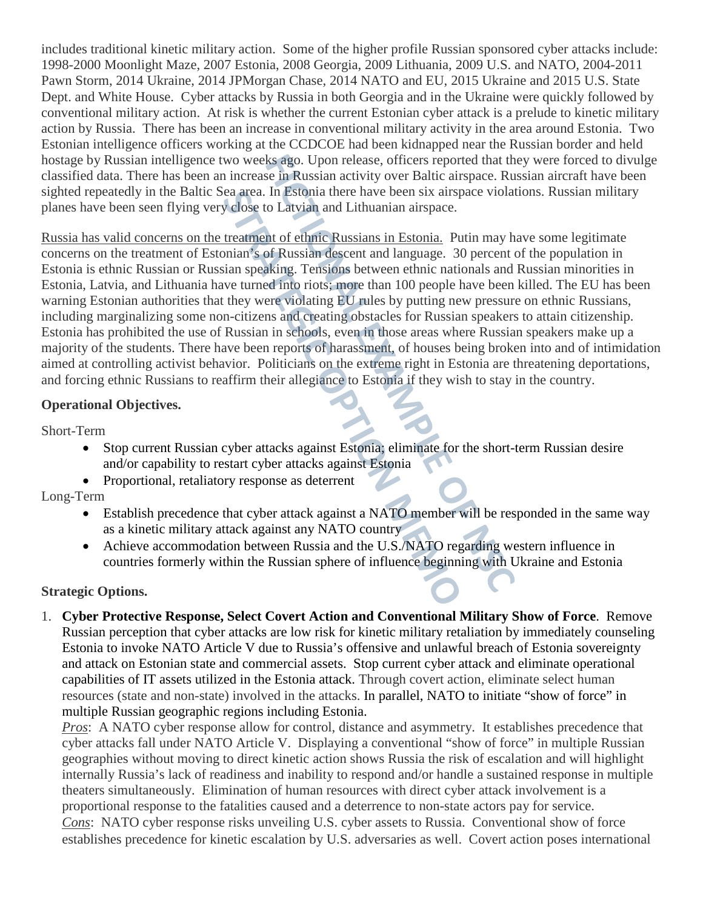includes traditional kinetic military action. Some of the higher profile Russian sponsored cyber attacks include: 1998-2000 Moonlight Maze, 2007 Estonia, 2008 Georgia, 2009 Lithuania, 2009 U.S. and NATO, 2004-2011 Pawn Storm, 2014 Ukraine, 2014 JPMorgan Chase, 2014 NATO and EU, 2015 Ukraine and 2015 U.S. State Dept. and White House. Cyber attacks by Russia in both Georgia and in the Ukraine were quickly followed by conventional military action. At risk is whether the current Estonian cyber attack is a prelude to kinetic military action by Russia. There has been an increase in conventional military activity in the area around Estonia. Two Estonian intelligence officers working at the CCDCOE had been kidnapped near the Russian border and held hostage by Russian intelligence two weeks ago. Upon release, officers reported that they were forced to divulge classified data. There has been an increase in Russian activity over Baltic airspace. Russian aircraft have been sighted repeatedly in the Baltic Sea area. In Estonia there have been six airspace violations. Russian military planes have been seen flying very close to Latvian and Lithuanian airspace.

Russia has valid concerns on the treatment of ethnic Russians in Estonia. Putin may have some legitimate concerns on the treatment of Estonian's of Russian descent and language. 30 percent of the population in Estonia is ethnic Russian or Russian speaking. Tensions between ethnic nationals and Russian minorities in Estonia, Latvia, and Lithuania have turned into riots; more than 100 people have been killed. The EU has been warning Estonian authorities that they were violating EU rules by putting new pressure on ethnic Russians, including marginalizing some non-citizens and creating obstacles for Russian speakers to attain citizenship. Estonia has prohibited the use of Russian in schools, even in those areas where Russian speakers make up a majority of the students. There have been reports of harassment, of houses being broken into and of intimidation aimed at controlling activist behavior. Politicians on the extreme right in Estonia are threatening deportations, and forcing ethnic Russians to reaffirm their allegiance to Estonia if they wish to stay in the country.

## **Operational Objectives.**

Short-Term

- Stop current Russian cyber attacks against Estonia; eliminate for the short-term Russian desire and/or capability to restart cyber attacks against Estonia
- Proportional, retaliatory response as deterrent

Long-Term

- Establish precedence that cyber attack against a NATO member will be responded in the same way as a kinetic military attack against any NATO country
- Achieve accommodation between Russia and the U.S./NATO regarding western influence in countries formerly within the Russian sphere of influence beginning with Ukraine and Estonia

# **Strategic Options.**

1. **Cyber Protective Response, Select Covert Action and Conventional Military Show of Force**. Remove Russian perception that cyber attacks are low risk for kinetic military retaliation by immediately counseling Estonia to invoke NATO Article V due to Russia's offensive and unlawful breach of Estonia sovereignty and attack on Estonian state and commercial assets. Stop current cyber attack and eliminate operational capabilities of IT assets utilized in the Estonia attack. Through covert action, eliminate select human resources (state and non-state) involved in the attacks. In parallel, NATO to initiate "show of force" in multiple Russian geographic regions including Estonia.

*Pros*: A NATO cyber response allow for control, distance and asymmetry. It establishes precedence that cyber attacks fall under NATO Article V. Displaying a conventional "show of force" in multiple Russian geographies without moving to direct kinetic action shows Russia the risk of escalation and will highlight internally Russia's lack of readiness and inability to respond and/or handle a sustained response in multiple theaters simultaneously. Elimination of human resources with direct cyber attack involvement is a proportional response to the fatalities caused and a deterrence to non-state actors pay for service. *Cons*: NATO cyber response risks unveiling U.S. cyber assets to Russia. Conventional show of force establishes precedence for kinetic escalation by U.S. adversaries as well. Covert action poses international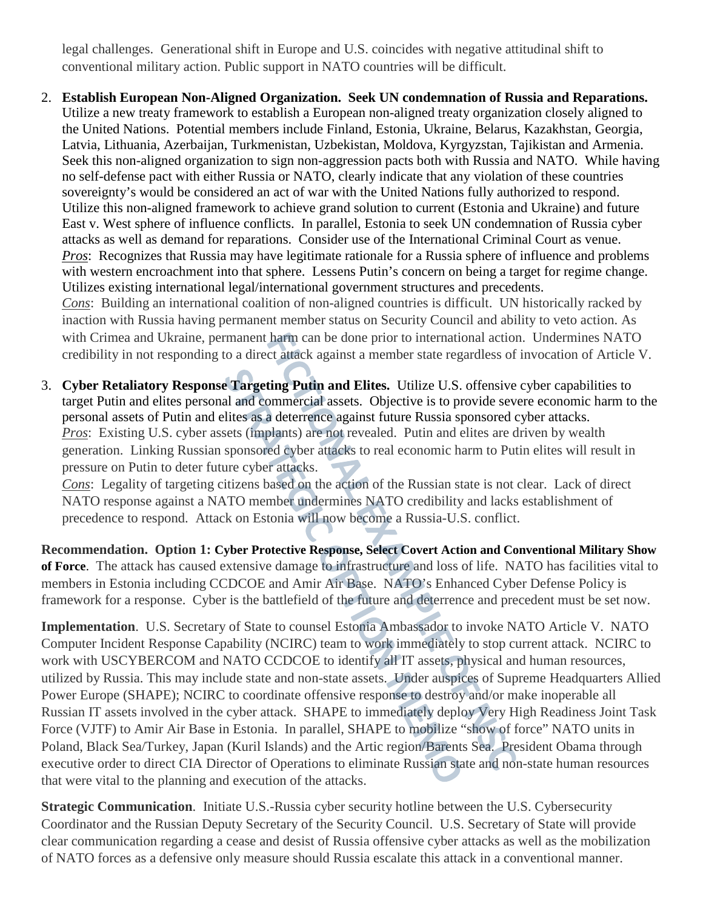legal challenges. Generational shift in Europe and U.S. coincides with negative attitudinal shift to conventional military action. Public support in NATO countries will be difficult.

2. **Establish European Non-Aligned Organization. Seek UN condemnation of Russia and Reparations.** Utilize a new treaty framework to establish a European non-aligned treaty organization closely aligned to the United Nations. Potential members include Finland, Estonia, Ukraine, Belarus, Kazakhstan, Georgia, Latvia, Lithuania, Azerbaijan, Turkmenistan, Uzbekistan, Moldova, Kyrgyzstan, Tajikistan and Armenia. Seek this non-aligned organization to sign non-aggression pacts both with Russia and NATO. While having no self-defense pact with either Russia or NATO, clearly indicate that any violation of these countries sovereignty's would be considered an act of war with the United Nations fully authorized to respond. Utilize this non-aligned framework to achieve grand solution to current (Estonia and Ukraine) and future East v. West sphere of influence conflicts. In parallel, Estonia to seek UN condemnation of Russia cyber attacks as well as demand for reparations. Consider use of the International Criminal Court as venue. *Pros*: Recognizes that Russia may have legitimate rationale for a Russia sphere of influence and problems with western encroachment into that sphere. Lessens Putin's concern on being a target for regime change. Utilizes existing international legal/international government structures and precedents. *Cons*: Building an international coalition of non-aligned countries is difficult. UN historically racked by inaction with Russia having permanent member status on Security Council and ability to veto action. As

with Crimea and Ukraine, permanent harm can be done prior to international action. Undermines NATO credibility in not responding to a direct attack against a member state regardless of invocation of Article V.

3. **Cyber Retaliatory Response Targeting Putin and Elites.** Utilize U.S. offensive cyber capabilities to target Putin and elites personal and commercial assets. Objective is to provide severe economic harm to the personal assets of Putin and elites as a deterrence against future Russia sponsored cyber attacks. *Pros*: Existing U.S. cyber assets (implants) are not revealed. Putin and elites are driven by wealth generation. Linking Russian sponsored cyber attacks to real economic harm to Putin elites will result in pressure on Putin to deter future cyber attacks.

*Cons*: Legality of targeting citizens based on the action of the Russian state is not clear. Lack of direct NATO response against a NATO member undermines NATO credibility and lacks establishment of precedence to respond. Attack on Estonia will now become a Russia-U.S. conflict.

**Recommendation. Option 1: Cyber Protective Response, Select Covert Action and Conventional Military Show of Force**.The attack has caused extensive damage to infrastructure and loss of life. NATO has facilities vital to members in Estonia including CCDCOE and Amir Air Base. NATO's Enhanced Cyber Defense Policy is framework for a response. Cyber is the battlefield of the future and deterrence and precedent must be set now.

**Implementation**. U.S. Secretary of State to counsel Estonia Ambassador to invoke NATO Article V. NATO Computer Incident Response Capability (NCIRC) team to work immediately to stop current attack. NCIRC to work with USCYBERCOM and NATO CCDCOE to identify all IT assets, physical and human resources, utilized by Russia. This may include state and non-state assets. Under auspices of Supreme Headquarters Allied Power Europe (SHAPE); NCIRC to coordinate offensive response to destroy and/or make inoperable all Russian IT assets involved in the cyber attack. SHAPE to immediately deploy Very High Readiness Joint Task Force (VJTF) to Amir Air Base in Estonia. In parallel, SHAPE to mobilize "show of force" NATO units in Poland, Black Sea/Turkey, Japan (Kuril Islands) and the Artic region/Barents Sea. President Obama through executive order to direct CIA Director of Operations to eliminate Russian state and non-state human resources that were vital to the planning and execution of the attacks.

**Strategic Communication**. Initiate U.S.-Russia cyber security hotline between the U.S. Cybersecurity Coordinator and the Russian Deputy Secretary of the Security Council. U.S. Secretary of State will provide clear communication regarding a cease and desist of Russia offensive cyber attacks as well as the mobilization of NATO forces as a defensive only measure should Russia escalate this attack in a conventional manner.